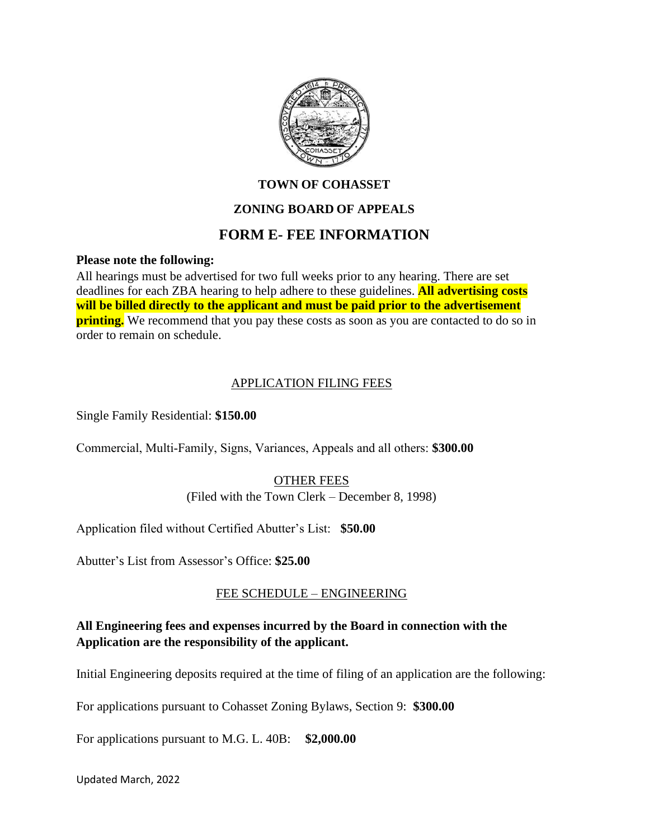

# **TOWN OF COHASSET**

# **ZONING BOARD OF APPEALS**

# **FORM E- FEE INFORMATION**

#### **Please note the following:**

All hearings must be advertised for two full weeks prior to any hearing. There are set deadlines for each ZBA hearing to help adhere to these guidelines. **All advertising costs will be billed directly to the applicant and must be paid prior to the advertisement printing.** We recommend that you pay these costs as soon as you are contacted to do so in order to remain on schedule.

#### APPLICATION FILING FEES

Single Family Residential: **\$150.00**

Commercial, Multi‐Family, Signs, Variances, Appeals and all others: **\$300.00**

# OTHER FEES

(Filed with the Town Clerk – December 8, 1998)

Application filed without Certified Abutter's List: **\$50.00**

Abutter's List from Assessor's Office: **\$25.00**

# FEE SCHEDULE – ENGINEERING

# **All Engineering fees and expenses incurred by the Board in connection with the Application are the responsibility of the applicant.**

Initial Engineering deposits required at the time of filing of an application are the following:

For applications pursuant to Cohasset Zoning Bylaws, Section 9: **\$300.00**

For applications pursuant to M.G. L. 40B: **\$2,000.00**

Updated March, 2022